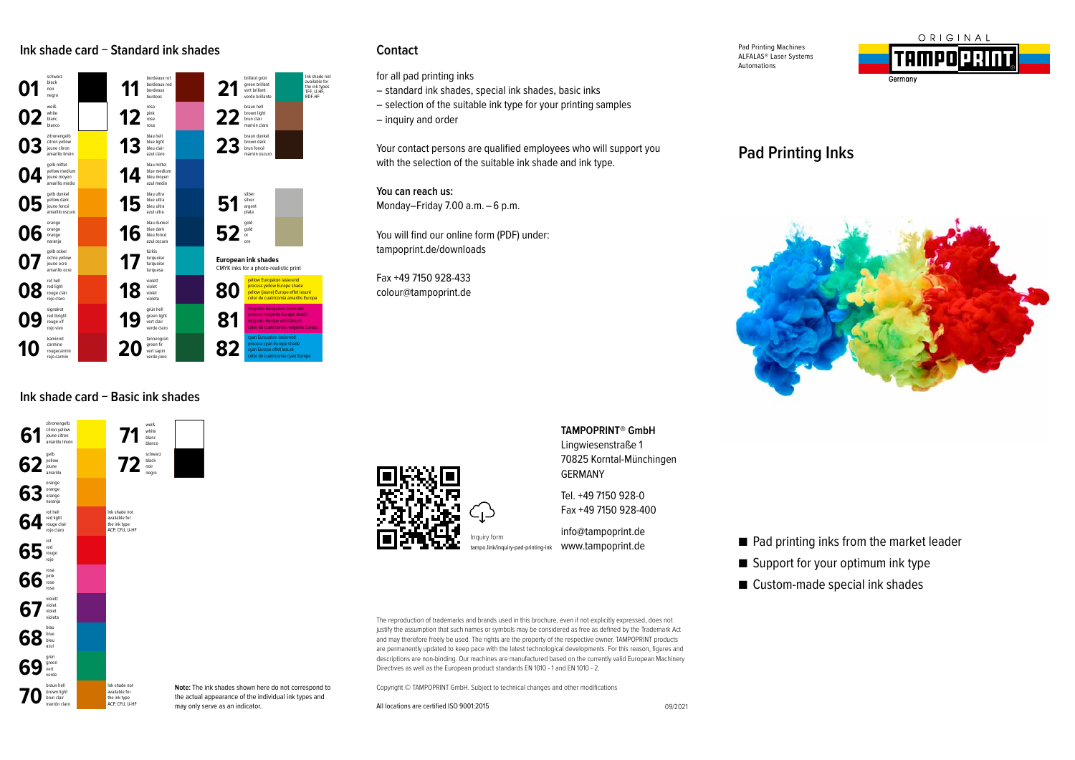## **Ink shade card − Standard ink shades Contact**



## **Ink shade card − Basic ink shades**



for all pad printing inks

- standard ink shades, special ink shades, basic inks
- selection of the suitable ink type for your printing samples
- inquiry and order

Your contact persons are qualified employees who will support you with the selection of the suitable ink shade and ink type.

**You can reach us:** Monday–Friday 7.00 a.m. – 6 p.m.

You will find our online form (PDF) under: tampoprint.de/downloads

Fax +49 7150 928-433 colour@tampoprint.de Pad Printing Machines ALFALAS® Laser Systems Automations



# **Pad Printing Inks**





**TAMPOPRINT® GmbH**  Lingwiesenstraße 1 70825 Korntal-Münchingen GERMANY

Tel. +49 7150 928-0 Fax +49 7150 928-400

info@tampoprint.de www.tampoprint.de

tampo.link/inquiry-pad-printing-ink

The reproduction of trademarks and brands used in this brochure, even if not explicitly expressed, does not justify the assumption that such names or symbols may be considered as free as defined by the Trademark Act and may therefore freely be used. The rights are the property of the respective owner. TAMPOPRINT products are permanently updated to keep pace with the latest technological developments. For this reason, figures and descriptions are non-binding. Our machines are manufactured based on the currently valid European Machinery Directives as well as the European product standards EN 1010 - 1 and EN 1010 - 2.

Copyright © TAMPOPRINT GmbH. Subject to technical changes and other modifications

All locations are certified ISO 9001:2015

- Pad printing inks from the market leader
- Support for your optimum ink type
- Custom-made special ink shades

**Note:** The ink shades shown here do not correspond to the actual appearance of the individual ink types and

may only serve as an indicator.